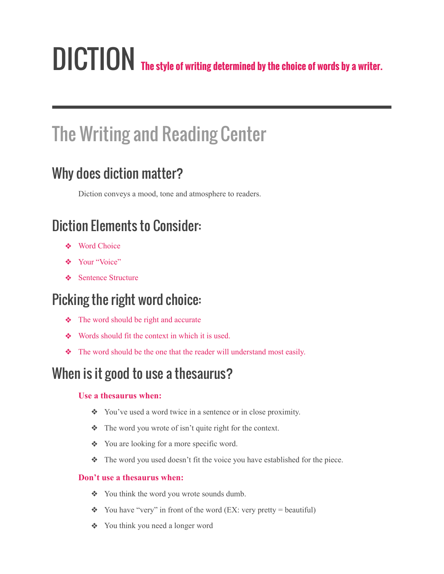# DICTION **The style of writing determined by the choice of words by a writer.**

## The Writing and Reading Center

## Why does diction matter?

Diction conveys a mood, tone and atmosphere to readers.

## Diction Elements to Consider:

- ❖ Word Choice
- ❖ Your "Voice"
- ❖ Sentence Structure

## Picking the right word choice:

- ❖ The word should be right and accurate
- ❖ Words should fit the context in which it is used.
- ❖ The word should be the one that the reader will understand most easily.

## When is it good to use a thesaurus?

#### **Use a thesaurus when:**

- ❖ You've used a word twice in a sentence or in close proximity.
- ❖ The word you wrote of isn't quite right for the context.
- ❖ You are looking for a more specific word.
- ❖ The word you used doesn't fit the voice you have established for the piece.

#### **Don't use a thesaurus when:**

- ❖ You think the word you wrote sounds dumb.
- ❖ You have "very" in front of the word (EX: very pretty = beautiful)
- ❖ You think you need a longer word